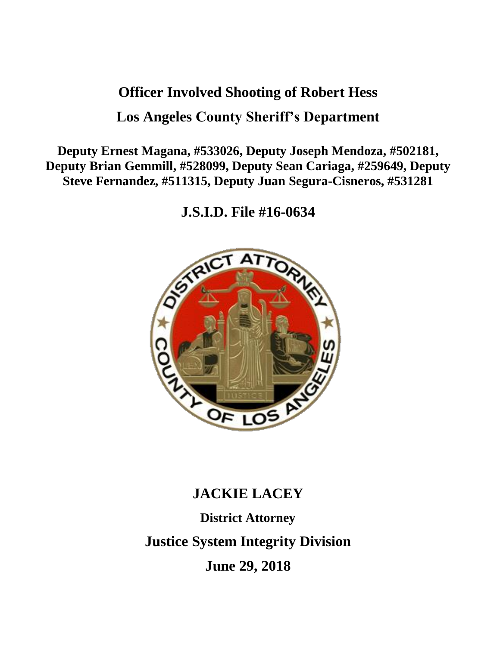# **Officer Involved Shooting of Robert Hess Los Angeles County Sheriff's Department**

**Deputy Ernest Magana, #533026, Deputy Joseph Mendoza, #502181, Deputy Brian Gemmill, #528099, Deputy Sean Cariaga, #259649, Deputy Steve Fernandez, #511315, Deputy Juan Segura-Cisneros, #531281**

**J.S.I.D. File #16-0634**



## **JACKIE LACEY**

**District Attorney Justice System Integrity Division June 29, 2018**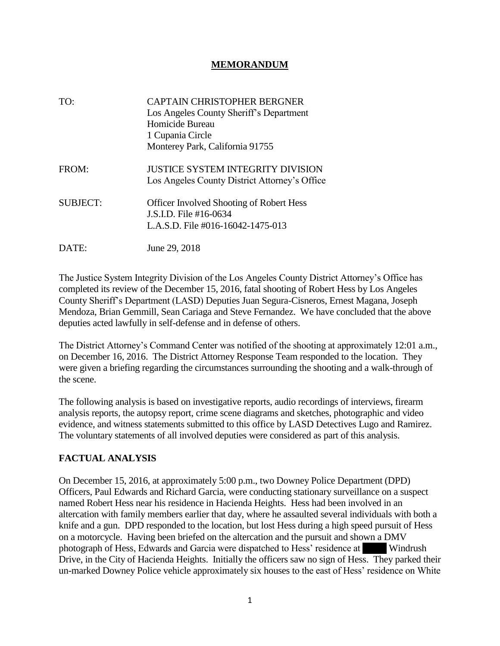#### **MEMORANDUM**

| TO:             | <b>CAPTAIN CHRISTOPHER BERGNER</b><br>Los Angeles County Sheriff's Department<br>Homicide Bureau<br>1 Cupania Circle<br>Monterey Park, California 91755 |
|-----------------|---------------------------------------------------------------------------------------------------------------------------------------------------------|
| FROM:           | <b>JUSTICE SYSTEM INTEGRITY DIVISION</b><br>Los Angeles County District Attorney's Office                                                               |
| <b>SUBJECT:</b> | <b>Officer Involved Shooting of Robert Hess</b><br>J.S.I.D. File #16-0634<br>L.A.S.D. File #016-16042-1475-013                                          |
| DATE:           | June 29, 2018                                                                                                                                           |

The Justice System Integrity Division of the Los Angeles County District Attorney's Office has completed its review of the December 15, 2016, fatal shooting of Robert Hess by Los Angeles County Sheriff's Department (LASD) Deputies Juan Segura-Cisneros, Ernest Magana, Joseph Mendoza, Brian Gemmill, Sean Cariaga and Steve Fernandez. We have concluded that the above deputies acted lawfully in self-defense and in defense of others.

The District Attorney's Command Center was notified of the shooting at approximately 12:01 a.m., on December 16, 2016. The District Attorney Response Team responded to the location. They were given a briefing regarding the circumstances surrounding the shooting and a walk-through of the scene.

The following analysis is based on investigative reports, audio recordings of interviews, firearm analysis reports, the autopsy report, crime scene diagrams and sketches, photographic and video evidence, and witness statements submitted to this office by LASD Detectives Lugo and Ramirez. The voluntary statements of all involved deputies were considered as part of this analysis.

### **FACTUAL ANALYSIS**

On December 15, 2016, at approximately 5:00 p.m., two Downey Police Department (DPD) Officers, Paul Edwards and Richard Garcia, were conducting stationary surveillance on a suspect named Robert Hess near his residence in Hacienda Heights. Hess had been involved in an altercation with family members earlier that day, where he assaulted several individuals with both a knife and a gun. DPD responded to the location, but lost Hess during a high speed pursuit of Hess on a motorcycle. Having been briefed on the altercation and the pursuit and shown a DMV photograph of Hess, Edwards and Garcia were dispatched to Hess' residence at 1583 Windrush Drive, in the City of Hacienda Heights. Initially the officers saw no sign of Hess. They parked their un-marked Downey Police vehicle approximately six houses to the east of Hess' residence on White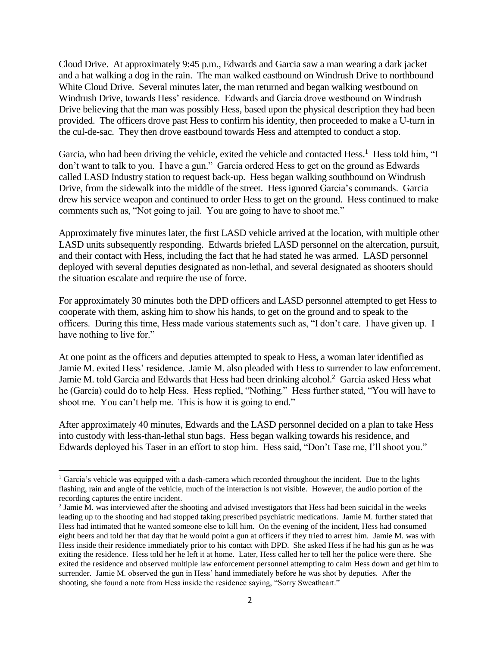Cloud Drive. At approximately 9:45 p.m., Edwards and Garcia saw a man wearing a dark jacket and a hat walking a dog in the rain. The man walked eastbound on Windrush Drive to northbound White Cloud Drive. Several minutes later, the man returned and began walking westbound on Windrush Drive, towards Hess' residence. Edwards and Garcia drove westbound on Windrush Drive believing that the man was possibly Hess, based upon the physical description they had been provided. The officers drove past Hess to confirm his identity, then proceeded to make a U-turn in the cul-de-sac. They then drove eastbound towards Hess and attempted to conduct a stop.

Garcia, who had been driving the vehicle, exited the vehicle and contacted Hess.<sup>1</sup> Hess told him, "I don't want to talk to you. I have a gun." Garcia ordered Hess to get on the ground as Edwards called LASD Industry station to request back-up. Hess began walking southbound on Windrush Drive, from the sidewalk into the middle of the street. Hess ignored Garcia's commands. Garcia drew his service weapon and continued to order Hess to get on the ground. Hess continued to make comments such as, "Not going to jail. You are going to have to shoot me."

Approximately five minutes later, the first LASD vehicle arrived at the location, with multiple other LASD units subsequently responding. Edwards briefed LASD personnel on the altercation, pursuit, and their contact with Hess, including the fact that he had stated he was armed. LASD personnel deployed with several deputies designated as non-lethal, and several designated as shooters should the situation escalate and require the use of force.

For approximately 30 minutes both the DPD officers and LASD personnel attempted to get Hess to cooperate with them, asking him to show his hands, to get on the ground and to speak to the officers. During this time, Hess made various statements such as, "I don't care. I have given up. I have nothing to live for."

At one point as the officers and deputies attempted to speak to Hess, a woman later identified as Jamie M. exited Hess' residence. Jamie M. also pleaded with Hess to surrender to law enforcement. Jamie M. told Garcia and Edwards that Hess had been drinking alcohol.<sup>2</sup> Garcia asked Hess what he (Garcia) could do to help Hess. Hess replied, "Nothing." Hess further stated, "You will have to shoot me. You can't help me. This is how it is going to end."

After approximately 40 minutes, Edwards and the LASD personnel decided on a plan to take Hess into custody with less-than-lethal stun bags. Hess began walking towards his residence, and Edwards deployed his Taser in an effort to stop him. Hess said, "Don't Tase me, I'll shoot you."

<sup>&</sup>lt;sup>1</sup> Garcia's vehicle was equipped with a dash-camera which recorded throughout the incident. Due to the lights flashing, rain and angle of the vehicle, much of the interaction is not visible. However, the audio portion of the recording captures the entire incident.

<sup>&</sup>lt;sup>2</sup> Jamie M. was interviewed after the shooting and advised investigators that Hess had been suicidal in the weeks leading up to the shooting and had stopped taking prescribed psychiatric medications. Jamie M. further stated that Hess had intimated that he wanted someone else to kill him. On the evening of the incident, Hess had consumed eight beers and told her that day that he would point a gun at officers if they tried to arrest him. Jamie M. was with Hess inside their residence immediately prior to his contact with DPD. She asked Hess if he had his gun as he was exiting the residence. Hess told her he left it at home. Later, Hess called her to tell her the police were there. She exited the residence and observed multiple law enforcement personnel attempting to calm Hess down and get him to surrender. Jamie M. observed the gun in Hess' hand immediately before he was shot by deputies. After the shooting, she found a note from Hess inside the residence saying, "Sorry Sweatheart."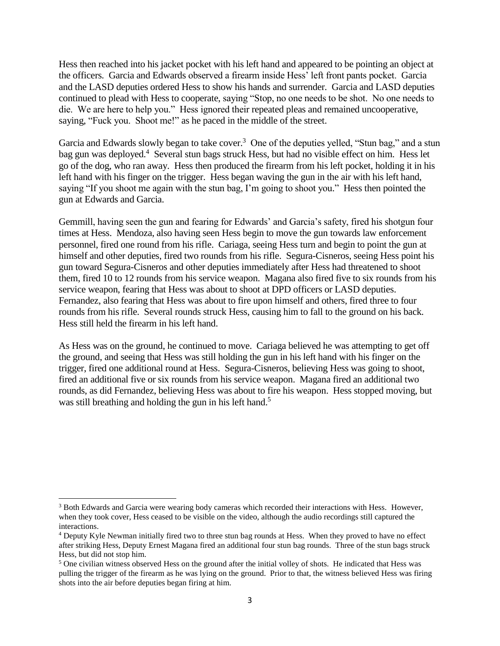Hess then reached into his jacket pocket with his left hand and appeared to be pointing an object at the officers. Garcia and Edwards observed a firearm inside Hess' left front pants pocket. Garcia and the LASD deputies ordered Hess to show his hands and surrender. Garcia and LASD deputies continued to plead with Hess to cooperate, saying "Stop, no one needs to be shot. No one needs to die. We are here to help you." Hess ignored their repeated pleas and remained uncooperative, saying, "Fuck you. Shoot me!" as he paced in the middle of the street.

Garcia and Edwards slowly began to take cover.<sup>3</sup> One of the deputies yelled, "Stun bag," and a stun bag gun was deployed.<sup>4</sup> Several stun bags struck Hess, but had no visible effect on him. Hess let go of the dog, who ran away. Hess then produced the firearm from his left pocket, holding it in his left hand with his finger on the trigger. Hess began waving the gun in the air with his left hand, saying "If you shoot me again with the stun bag, I'm going to shoot you." Hess then pointed the gun at Edwards and Garcia.

Gemmill, having seen the gun and fearing for Edwards' and Garcia's safety, fired his shotgun four times at Hess. Mendoza, also having seen Hess begin to move the gun towards law enforcement personnel, fired one round from his rifle. Cariaga, seeing Hess turn and begin to point the gun at himself and other deputies, fired two rounds from his rifle. Segura-Cisneros, seeing Hess point his gun toward Segura-Cisneros and other deputies immediately after Hess had threatened to shoot them, fired 10 to 12 rounds from his service weapon. Magana also fired five to six rounds from his service weapon, fearing that Hess was about to shoot at DPD officers or LASD deputies. Fernandez, also fearing that Hess was about to fire upon himself and others, fired three to four rounds from his rifle. Several rounds struck Hess, causing him to fall to the ground on his back. Hess still held the firearm in his left hand.

As Hess was on the ground, he continued to move. Cariaga believed he was attempting to get off the ground, and seeing that Hess was still holding the gun in his left hand with his finger on the trigger, fired one additional round at Hess. Segura-Cisneros, believing Hess was going to shoot, fired an additional five or six rounds from his service weapon. Magana fired an additional two rounds, as did Fernandez, believing Hess was about to fire his weapon. Hess stopped moving, but was still breathing and holding the gun in his left hand.<sup>5</sup>

<sup>&</sup>lt;sup>3</sup> Both Edwards and Garcia were wearing body cameras which recorded their interactions with Hess. However, when they took cover, Hess ceased to be visible on the video, although the audio recordings still captured the interactions.

<sup>4</sup> Deputy Kyle Newman initially fired two to three stun bag rounds at Hess. When they proved to have no effect after striking Hess, Deputy Ernest Magana fired an additional four stun bag rounds. Three of the stun bags struck Hess, but did not stop him.

<sup>&</sup>lt;sup>5</sup> One civilian witness observed Hess on the ground after the initial volley of shots. He indicated that Hess was pulling the trigger of the firearm as he was lying on the ground. Prior to that, the witness believed Hess was firing shots into the air before deputies began firing at him.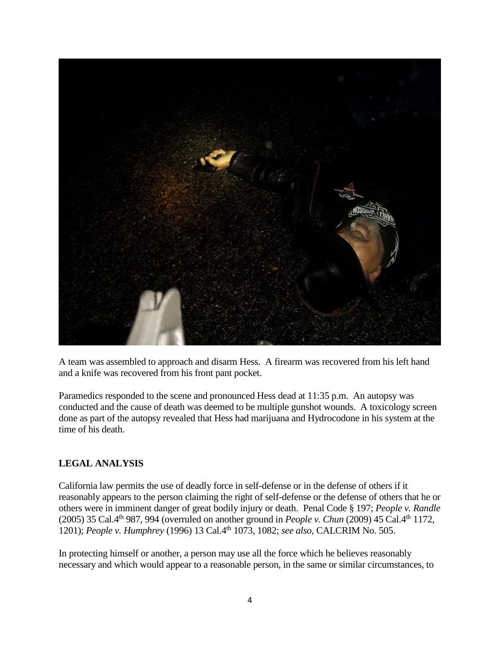

A team was assembled to approach and disarm Hess. A firearm was recovered from his left hand and a knife was recovered from his front pant pocket.

Paramedics responded to the scene and pronounced Hess dead at 11:35 p.m. An autopsy was conducted and the cause of death was deemed to be multiple gunshot wounds. A toxicology screen done as part of the autopsy revealed that Hess had marijuana and Hydrocodone in his system at the time of his death.

### **LEGAL ANALYSIS**

California law permits the use of deadly force in self-defense or in the defense of others if it reasonably appears to the person claiming the right of self-defense or the defense of others that he or others were in imminent danger of great bodily injury or death. Penal Code § 197; *People v. Randle* (2005) 35 Cal.4th 987, 994 (overruled on another ground in *People v. Chun* (2009) 45 Cal.4th 1172, 1201); *People v. Humphrey* (1996) 13 Cal.4th 1073, 1082; *see also,* CALCRIM No. 505.

In protecting himself or another, a person may use all the force which he believes reasonably necessary and which would appear to a reasonable person, in the same or similar circumstances, to